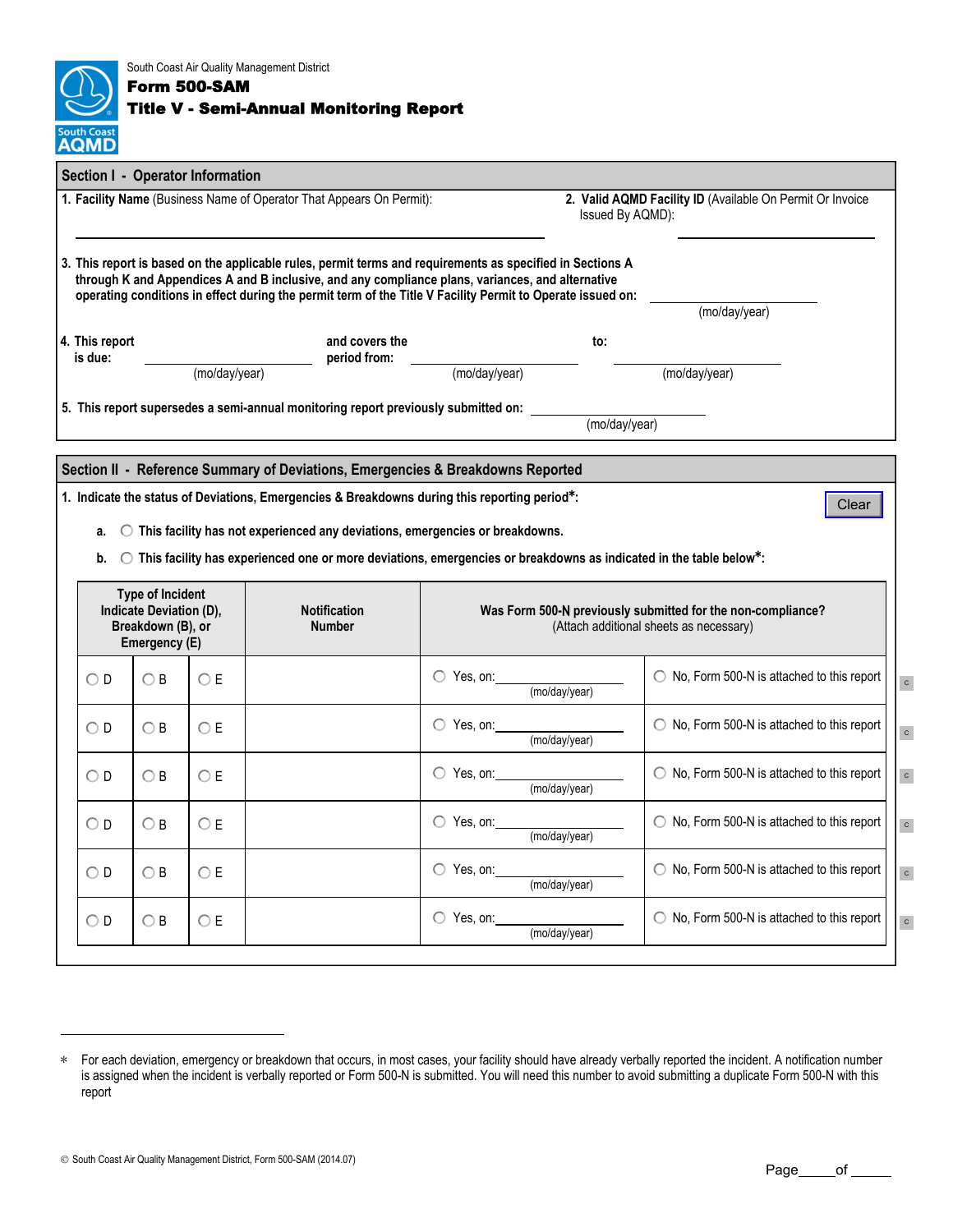| <b>South Coast</b> |
|--------------------|

South Coast Air Quality Management District Form 500-SAM

## Title V - Semi-Annual Monitoring Report

|                                                                                                        | Section I - Operator Information                                                         |               |                                                                                         |                                                                                                                                                                                                                                                                                                                             |                                                                                                                                       |  |  |  |  |
|--------------------------------------------------------------------------------------------------------|------------------------------------------------------------------------------------------|---------------|-----------------------------------------------------------------------------------------|-----------------------------------------------------------------------------------------------------------------------------------------------------------------------------------------------------------------------------------------------------------------------------------------------------------------------------|---------------------------------------------------------------------------------------------------------------------------------------|--|--|--|--|
| 1. Facility Name (Business Name of Operator That Appears On Permit):                                   |                                                                                          |               |                                                                                         |                                                                                                                                                                                                                                                                                                                             | 2. Valid AQMD Facility ID (Available On Permit Or Invoice<br>Issued By AQMD):                                                         |  |  |  |  |
|                                                                                                        |                                                                                          |               |                                                                                         | 3. This report is based on the applicable rules, permit terms and requirements as specified in Sections A<br>through K and Appendices A and B inclusive, and any compliance plans, variances, and alternative<br>operating conditions in effect during the permit term of the Title V Facility Permit to Operate issued on: |                                                                                                                                       |  |  |  |  |
|                                                                                                        |                                                                                          |               |                                                                                         |                                                                                                                                                                                                                                                                                                                             | (mo/day/year)                                                                                                                         |  |  |  |  |
| 4. This report<br>is due:                                                                              |                                                                                          |               | and covers the<br>period from:                                                          |                                                                                                                                                                                                                                                                                                                             | to:                                                                                                                                   |  |  |  |  |
|                                                                                                        |                                                                                          | (mo/day/year) |                                                                                         | (mo/day/year)                                                                                                                                                                                                                                                                                                               | (mo/day/year)                                                                                                                         |  |  |  |  |
|                                                                                                        |                                                                                          |               | 5. This report supersedes a semi-annual monitoring report previously submitted on:      |                                                                                                                                                                                                                                                                                                                             |                                                                                                                                       |  |  |  |  |
| (mo/day/year)                                                                                          |                                                                                          |               |                                                                                         |                                                                                                                                                                                                                                                                                                                             |                                                                                                                                       |  |  |  |  |
|                                                                                                        |                                                                                          |               |                                                                                         |                                                                                                                                                                                                                                                                                                                             |                                                                                                                                       |  |  |  |  |
|                                                                                                        | Section II - Reference Summary of Deviations, Emergencies & Breakdowns Reported          |               |                                                                                         |                                                                                                                                                                                                                                                                                                                             |                                                                                                                                       |  |  |  |  |
| 1. Indicate the status of Deviations, Emergencies & Breakdowns during this reporting period*:<br>Clear |                                                                                          |               |                                                                                         |                                                                                                                                                                                                                                                                                                                             |                                                                                                                                       |  |  |  |  |
|                                                                                                        |                                                                                          |               |                                                                                         |                                                                                                                                                                                                                                                                                                                             |                                                                                                                                       |  |  |  |  |
| а.                                                                                                     |                                                                                          |               | $\bigcirc$ This facility has not experienced any deviations, emergencies or breakdowns. |                                                                                                                                                                                                                                                                                                                             |                                                                                                                                       |  |  |  |  |
| b.                                                                                                     |                                                                                          |               |                                                                                         |                                                                                                                                                                                                                                                                                                                             | $\circlearrowright$ This facility has experienced one or more deviations, emergencies or breakdowns as indicated in the table below*: |  |  |  |  |
|                                                                                                        | <b>Type of Incident</b><br>Indicate Deviation (D),<br>Breakdown (B), or<br>Emergency (E) |               | <b>Notification</b><br><b>Number</b>                                                    |                                                                                                                                                                                                                                                                                                                             | Was Form 500-N previously submitted for the non-compliance?<br>(Attach additional sheets as necessary)                                |  |  |  |  |
| $\bigcirc$ D                                                                                           | $\bigcirc$ B                                                                             | ОE            |                                                                                         | $\bigcirc$ Yes, on:<br>(mo/day/year)                                                                                                                                                                                                                                                                                        | ◯ No, Form 500-N is attached to this report                                                                                           |  |  |  |  |
| $\bigcirc$ D                                                                                           | O B                                                                                      | OЕ            |                                                                                         | $\bigcirc$ Yes, on:<br>(mo/day/year)                                                                                                                                                                                                                                                                                        | $\circ$ No, Form 500-N is attached to this report                                                                                     |  |  |  |  |
| O D                                                                                                    | OВ                                                                                       | OЕ            |                                                                                         | $\bigcirc$ Yes, on:<br>(mo/day/year)                                                                                                                                                                                                                                                                                        | ◯ No, Form 500-N is attached to this report                                                                                           |  |  |  |  |
| $\circ$ d                                                                                              | $\bigcirc$ B                                                                             | OЕ            |                                                                                         | $\bigcirc$ Yes, on:<br>(mo/day/year)                                                                                                                                                                                                                                                                                        | ◯ No, Form 500-N is attached to this report                                                                                           |  |  |  |  |
| $\bigcirc$ D                                                                                           | OВ                                                                                       | OЕ            |                                                                                         | $\bigcirc$ Yes, on:<br>(mo/day/year)                                                                                                                                                                                                                                                                                        | $\bigcirc$ No, Form 500-N is attached to this report                                                                                  |  |  |  |  |

<sup>∗</sup> For each deviation, emergency or breakdown that occurs, in most cases, your facility should have already verbally reported the incident. A notification number is assigned when the incident is verbally reported or Form 500-N is submitted. You will need this number to avoid submitting a duplicate Form 500-N with this report